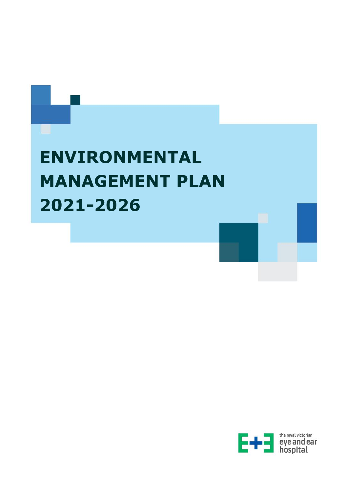

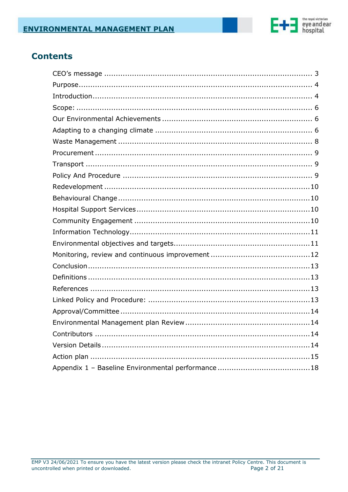

# **Contents**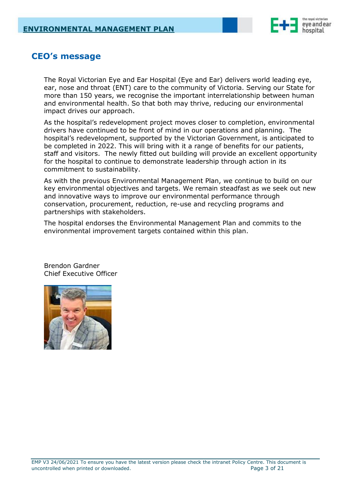

# <span id="page-2-0"></span>**CEO's message**

The Royal Victorian Eye and Ear Hospital (Eye and Ear) delivers world leading eye, ear, nose and throat (ENT) care to the community of Victoria. Serving our State for more than 150 years, we recognise the important interrelationship between human and environmental health. So that both may thrive, reducing our environmental impact drives our approach.

As the hospital's redevelopment project moves closer to completion, environmental drivers have continued to be front of mind in our operations and planning. The hospital's redevelopment, supported by the Victorian Government, is anticipated to be completed in 2022. This will bring with it a range of benefits for our patients, staff and visitors. The newly fitted out building will provide an excellent opportunity for the hospital to continue to demonstrate leadership through action in its commitment to sustainability.

As with the previous Environmental Management Plan, we continue to build on our key environmental objectives and targets. We remain steadfast as we seek out new and innovative ways to improve our environmental performance through conservation, procurement, reduction, re-use and recycling programs and partnerships with stakeholders.

The hospital endorses the Environmental Management Plan and commits to the environmental improvement targets contained within this plan.



Brendon Gardner Chief Executive Officer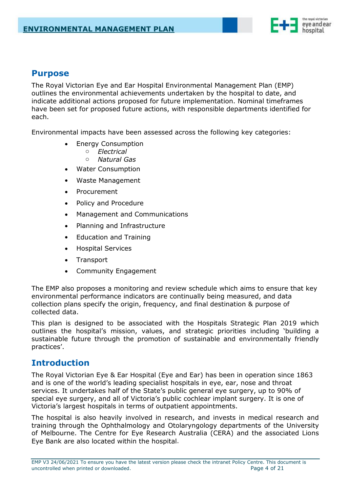

# <span id="page-3-0"></span>**Purpose**

The Royal Victorian Eye and Ear Hospital Environmental Management Plan (EMP) outlines the environmental achievements undertaken by the hospital to date, and indicate additional actions proposed for future implementation. Nominal timeframes have been set for proposed future actions, with responsible departments identified for each.

Environmental impacts have been assessed across the following key categories:

- Energy Consumption
	- o *Electrical*
	- o *Natural Gas*
- Water Consumption
- Waste Management
- **Procurement**
- Policy and Procedure
- Management and Communications
- Planning and Infrastructure
- Education and Training
- Hospital Services
- Transport
- Community Engagement

The EMP also proposes a monitoring and review schedule which aims to ensure that key environmental performance indicators are continually being measured, and data collection plans specify the origin, frequency, and final destination & purpose of collected data.

This plan is designed to be associated with the Hospitals Strategic Plan 2019 which outlines the hospital's mission, values, and strategic priorities including 'building a sustainable future through the promotion of sustainable and environmentally friendly practices'.

### <span id="page-3-1"></span>**Introduction**

The Royal Victorian Eye & Ear Hospital (Eye and Ear) has been in operation since 1863 and is one of the world's leading specialist hospitals in eye, ear, nose and throat services. It undertakes half of the State's public general eye surgery, up to 90% of special eye surgery, and all of Victoria's public cochlear implant surgery. It is one of Victoria's largest hospitals in terms of outpatient appointments.

The hospital is also heavily involved in research, and invests in medical research and training through the Ophthalmology and Otolaryngology departments of the University of Melbourne. The Centre for Eye Research Australia (CERA) and the associated Lions Eye Bank are also located within the hospital.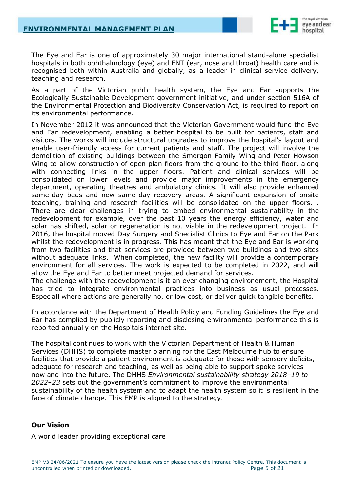

The Eye and Ear is one of approximately 30 major international stand-alone specialist hospitals in both ophthalmology (eye) and ENT (ear, nose and throat) health care and is recognised both within Australia and globally, as a leader in clinical service delivery, teaching and research.

As a part of the Victorian public health system, the Eye and Ear supports the Ecologically Sustainable Development government initiative, and under section 516A of the Environmental Protection and Biodiversity Conservation Act, is required to report on its environmental performance.

In November 2012 it was announced that the Victorian Government would fund the Eye and Ear redevelopment, enabling a better hospital to be built for patients, staff and visitors. The works will include structural upgrades to improve the hospital's layout and enable user-friendly access for current patients and staff. The project will involve the demolition of existing buildings between the Smorgon Family Wing and Peter Howson Wing to allow construction of open plan floors from the ground to the third floor, along with connecting links in the upper floors. Patient and clinical services will be consolidated on lower levels and provide major improvements in the emergency department, operating theatres and ambulatory clinics. It will also provide enhanced same-day beds and new same-day recovery areas. A significant expansion of onsite teaching, training and research facilities will be consolidated on the upper floors. . There are clear challenges in trying to embed environmental sustainability in the redevelopment for example, over the past 10 years the energy efficiency, water and solar has shifted, solar or regeneration is not viable in the redevelopment project. In 2016, the hospital moved Day Surgery and Specialist Clinics to Eye and Ear on the Park whilst the redevelopment is in progress. This has meant that the Eye and Ear is working from two facilities and that services are provided between two buildings and two sites without adequate links. When completed, the new facility will provide a contemporary environment for all services. The work is expected to be completed in 2022, and will allow the Eye and Ear to better meet projected demand for services.

The challenge with the redevelopment is it an ever changing environement, the Hospital has tried to integrate environmental practices into business as usual processes. Especiall where actions are generally no, or low cost, or deliver quick tangible benefits.

In accordance with the Department of Health Policy and Funding Guidelines the Eye and Ear has complied by publicly reporting and disclosing environmental performance this is reported annually on the Hospitals internet site.

The hospital continues to work with the Victorian Department of Health & Human Services (DHHS) to complete master planning for the East Melbourne hub to ensure facilities that provide a patient environment is adequate for those with sensory deficits, adequate for research and teaching, as well as being able to support spoke services now and into the future. The DHHS *Environmental sustainability strategy 2018–19 to 2022–23* sets out the government's commitment to improve the environmental sustainability of the health system and to adapt the health system so it is resilient in the face of climate change. This EMP is aligned to the strategy.

#### **Our Vision**

A world leader providing exceptional care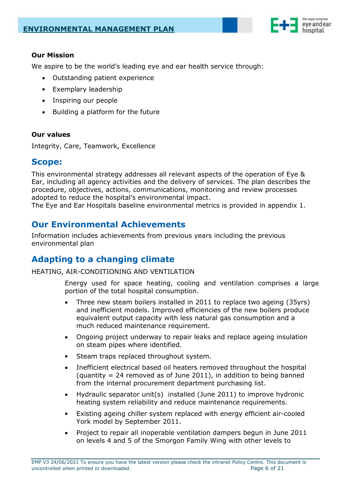

### **Our Mission**

We aspire to be the world's leading eye and ear health service through:

- Outstanding patient experience
- Exemplary leadership
- Inspiring our people
- Building a platform for the future

#### **Our values**

Integrity, Care, Teamwork, Excellence

### <span id="page-5-0"></span>**Scope:**

This environmental strategy addresses all relevant aspects of the operation of Eye & Ear, including all agency activities and the delivery of services. The plan describes the procedure, objectives, actions, communications, monitoring and review processes adopted to reduce the hospital's environmental impact.

The Eye and Ear Hospitals baseline environmental metrics is provided in appendix 1.

# <span id="page-5-1"></span>**Our Environmental Achievements**

Information includes achievements from previous years including the previous environmental plan

# <span id="page-5-2"></span>**Adapting to a changing climate**

HEATING, AIR-CONDITIONING AND VENTILATION

Energy used for space heating, cooling and ventilation comprises a large portion of the total hospital consumption.

- Three new steam boilers installed in 2011 to replace two ageing (35yrs) and inefficient models. Improved efficiencies of the new boilers produce equivalent output capacity with less natural gas consumption and a much reduced maintenance requirement.
- Ongoing project underway to repair leaks and replace ageing insulation on steam pipes where identified.
- Steam traps replaced throughout system.
- Inefficient electrical based oil heaters removed throughout the hospital (quantity  $= 24$  removed as of June 2011), in addition to being banned from the internal procurement department purchasing list.
- Hydraulic separator unit(s) installed (June 2011) to improve hydronic heating system reliability and reduce maintenance requirements.
- Existing ageing chiller system replaced with energy efficient air-cooled York model by September 2011.
- Project to repair all inoperable ventilation dampers begun in June 2011 on levels 4 and 5 of the Smorgon Family Wing with other levels to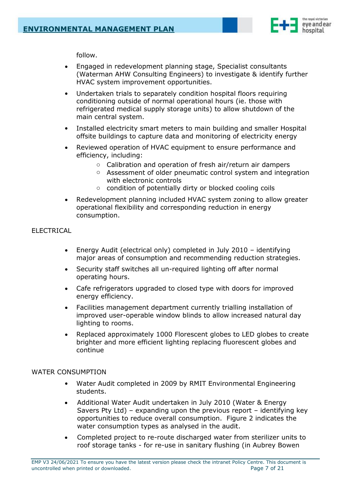

follow.

- Engaged in redevelopment planning stage, Specialist consultants (Waterman AHW Consulting Engineers) to investigate & identify further HVAC system improvement opportunities.
- Undertaken trials to separately condition hospital floors requiring conditioning outside of normal operational hours (ie. those with refrigerated medical supply storage units) to allow shutdown of the main central system.
- Installed electricity smart meters to main building and smaller Hospital offsite buildings to capture data and monitoring of electricity energy
- Reviewed operation of HVAC equipment to ensure performance and efficiency, including:
	- o Calibration and operation of fresh air/return air dampers
	- o Assessment of older pneumatic control system and integration with electronic controls
	- o condition of potentially dirty or blocked cooling coils
- Redevelopment planning included HVAC system zoning to allow greater operational flexibility and corresponding reduction in energy consumption.

#### ELECTRICAL

- Energy Audit (electrical only) completed in July 2010 identifying major areas of consumption and recommending reduction strategies.
- Security staff switches all un-required lighting off after normal operating hours.
- Cafe refrigerators upgraded to closed type with doors for improved energy efficiency.
- Facilities management department currently trialling installation of improved user-operable window blinds to allow increased natural day lighting to rooms.
- Replaced approximately 1000 Florescent globes to LED globes to create brighter and more efficient lighting replacing fluorescent globes and continue

#### WATER CONSUMPTION

- Water Audit completed in 2009 by RMIT Environmental Engineering students.
- Additional Water Audit undertaken in July 2010 (Water & Energy Savers Pty Ltd) – expanding upon the previous report – identifying key opportunities to reduce overall consumption. Figure 2 indicates the water consumption types as analysed in the audit.
- Completed project to re-route discharged water from sterilizer units to roof storage tanks - for re-use in sanitary flushing (in Aubrey Bowen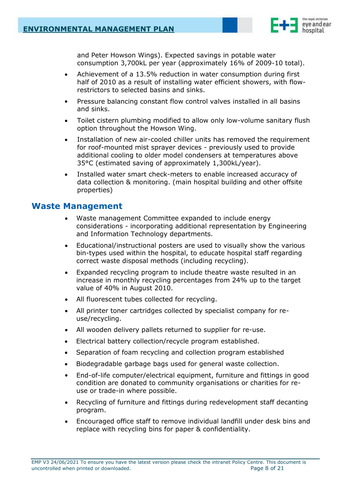

and Peter Howson Wings). Expected savings in potable water consumption 3,700kL per year (approximately 16% of 2009-10 total).

- Achievement of a 13.5% reduction in water consumption during first half of 2010 as a result of installing water efficient showers, with flowrestrictors to selected basins and sinks.
- Pressure balancing constant flow control valves installed in all basins and sinks.
- Toilet cistern plumbing modified to allow only low-volume sanitary flush option throughout the Howson Wing.
- Installation of new air-cooled chiller units has removed the requirement for roof-mounted mist sprayer devices - previously used to provide additional cooling to older model condensers at temperatures above 35°C (estimated saving of approximately 1,300kL/year).
- Installed water smart check-meters to enable increased accuracy of data collection & monitoring. (main hospital building and other offsite properties)

### <span id="page-7-0"></span>**Waste Management**

- Waste management Committee expanded to include energy considerations - incorporating additional representation by Engineering and Information Technology departments.
- Educational/instructional posters are used to visually show the various bin-types used within the hospital, to educate hospital staff regarding correct waste disposal methods (including recycling).
- Expanded recycling program to include theatre waste resulted in an increase in monthly recycling percentages from 24% up to the target value of 40% in August 2010.
- All fluorescent tubes collected for recycling.
- All printer toner cartridges collected by specialist company for reuse/recycling.
- All wooden delivery pallets returned to supplier for re-use.
- Electrical battery collection/recycle program established.
- Separation of foam recycling and collection program established
- Biodegradable garbage bags used for general waste collection.
- End-of-life computer/electrical equipment, furniture and fittings in good condition are donated to community organisations or charities for reuse or trade-in where possible.
- Recycling of furniture and fittings during redevelopment staff decanting program.
- Encouraged office staff to remove individual landfill under desk bins and replace with recycling bins for paper & confidentiality.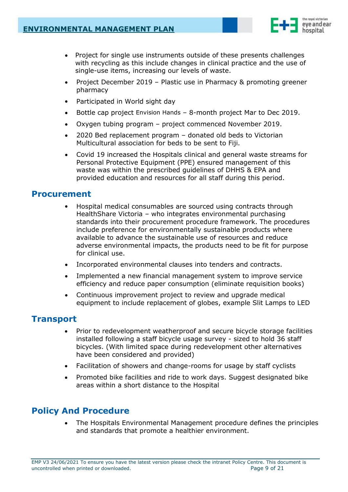

- Project for single use instruments outside of these presents challenges with recycling as this include changes in clinical practice and the use of single-use items, increasing our levels of waste.
- Project December 2019 Plastic use in Pharmacy & promoting greener pharmacy
- Participated in World sight day
- Bottle cap project Envision Hands 8-month project Mar to Dec 2019.
- Oxygen tubing program project commenced November 2019.
- 2020 Bed replacement program donated old beds to Victorian Multicultural association for beds to be sent to Fiji.
- Covid 19 increased the Hospitals clinical and general waste streams for Personal Protective Equipment (PPE) ensured management of this waste was within the prescribed guidelines of DHHS & EPA and provided education and resources for all staff during this period.

### <span id="page-8-0"></span>**Procurement**

- Hospital medical consumables are sourced using contracts through HealthShare Victoria – who integrates environmental purchasing standards into their procurement procedure framework. The procedures include preference for environmentally sustainable products where available to advance the sustainable use of resources and reduce adverse environmental impacts, the products need to be fit for purpose for clinical use.
- Incorporated environmental clauses into tenders and contracts.
- Implemented a new financial management system to improve service efficiency and reduce paper consumption (eliminate requisition books)
- Continuous improvement project to review and upgrade medical equipment to include replacement of globes, example Slit Lamps to LED

# <span id="page-8-1"></span>**Transport**

- Prior to redevelopment weatherproof and secure bicycle storage facilities installed following a staff bicycle usage survey - sized to hold 36 staff bicycles. (With limited space during redevelopment other alternatives have been considered and provided)
- Facilitation of showers and change-rooms for usage by staff cyclists
- Promoted bike facilities and ride to work days. Suggest designated bike areas within a short distance to the Hospital

# <span id="page-8-2"></span>**Policy And Procedure**

• The Hospitals Environmental Management procedure defines the principles and standards that promote a healthier environment.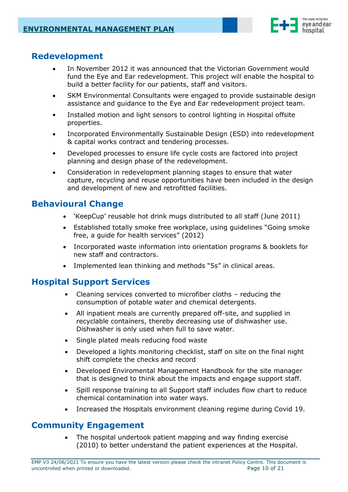

# <span id="page-9-0"></span>**Redevelopment**

- In November 2012 it was announced that the Victorian Government would fund the Eye and Ear redevelopment. This project will enable the hospital to build a better facility for our patients, staff and visitors.
- SKM Environmental Consultants were engaged to provide sustainable design assistance and guidance to the Eye and Ear redevelopment project team.
- Installed motion and light sensors to control lighting in Hospital offsite properties.
- Incorporated Environmentally Sustainable Design (ESD) into redevelopment & capital works contract and tendering processes.
- Developed processes to ensure life cycle costs are factored into project planning and design phase of the redevelopment.
- Consideration in redevelopment planning stages to ensure that water capture, recycling and reuse opportunities have been included in the design and development of new and retrofitted facilities.

# <span id="page-9-1"></span>**Behavioural Change**

- 'KeepCup' reusable hot drink mugs distributed to all staff (June 2011)
- Established totally smoke free workplace, using guidelines "Going smoke free, a guide for health services" (2012)
- Incorporated waste information into orientation programs & booklets for new staff and contractors.
- Implemented lean thinking and methods "5s" in clinical areas.

# <span id="page-9-2"></span>**Hospital Support Services**

- Cleaning services converted to microfiber cloths reducing the consumption of potable water and chemical detergents.
- All inpatient meals are currently prepared off-site, and supplied in recyclable containers, thereby decreasing use of dishwasher use. Dishwasher is only used when full to save water.
- Single plated meals reducing food waste
- Developed a lights monitoring checklist, staff on site on the final night shift complete the checks and record
- Developed Enviromental Management Handbook for the site manager that is designed to think about the impacts and engage support staff.
- Spill response training to all Support staff includes flow chart to reduce chemical contamination into water ways.
- Increased the Hospitals environment cleaning regime during Covid 19.

# <span id="page-9-3"></span>**Community Engagement**

The hospital undertook patient mapping and way finding exercise (2010) to better understand the patient experiences at the Hospital.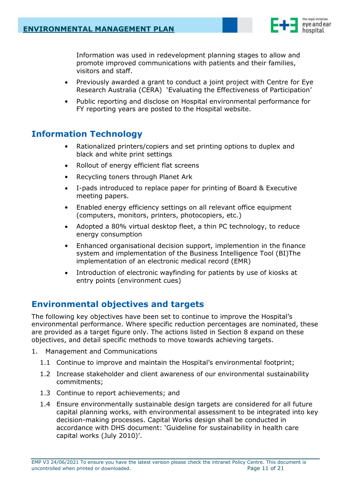

Information was used in redevelopment planning stages to allow and promote improved communications with patients and their families, visitors and staff.

- Previously awarded a grant to conduct a joint project with Centre for Eye Research Australia (CERA) 'Evaluating the Effectiveness of Participation'
- Public reporting and disclose on Hospital environmental performance for FY reporting years are posted to the Hospital website.

# <span id="page-10-0"></span>**Information Technology**

- Rationalized printers/copiers and set printing options to duplex and black and white print settings
- Rollout of energy efficient flat screens
- Recycling toners through Planet Ark
- I-pads introduced to replace paper for printing of Board & Executive meeting papers.
- Enabled energy efficiency settings on all relevant office equipment (computers, monitors, printers, photocopiers, etc.)
- Adopted a 80% virtual desktop fleet, a thin PC technology, to reduce energy consumption
- Enhanced organisational decision support, implemention in the finance system and implementation of the Business Intelligence Tool (BI)The implementation of an electronic medical record (EMR)
- Introduction of electronic wayfinding for patients by use of kiosks at entry points (environment cues)

# <span id="page-10-1"></span>**Environmental objectives and targets**

The following key objectives have been set to continue to improve the Hospital's environmental performance. Where specific reduction percentages are nominated, these are provided as a target figure only. The actions listed in Section 8 expand on these objectives, and detail specific methods to move towards achieving targets.

- 1. Management and Communications
	- 1.1 Continue to improve and maintain the Hospital's environmental footprint;
	- 1.2 Increase stakeholder and client awareness of our environmental sustainability commitments;
	- 1.3 Continue to report achievements; and
	- 1.4 Ensure environmentally sustainable design targets are considered for all future capital planning works, with environmental assessment to be integrated into key decision-making processes. Capital Works design shall be conducted in accordance with DHS document: 'Guideline for sustainability in health care capital works (July 2010)'.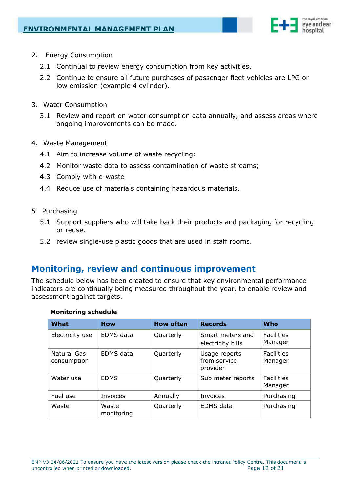

- 2. Energy Consumption
	- 2.1 Continual to review energy consumption from key activities.
	- 2.2 Continue to ensure all future purchases of passenger fleet vehicles are LPG or low emission (example 4 cylinder).
- 3. Water Consumption
	- 3.1 Review and report on water consumption data annually, and assess areas where ongoing improvements can be made.
- 4. Waste Management
	- 4.1 Aim to increase volume of waste recycling;
	- 4.2 Monitor waste data to assess contamination of waste streams;
	- 4.3 Comply with e-waste
	- 4.4 Reduce use of materials containing hazardous materials.
- 5 Purchasing
	- 5.1 Support suppliers who will take back their products and packaging for recycling or reuse.
	- 5.2 review single-use plastic goods that are used in staff rooms.

# <span id="page-11-0"></span>**Monitoring, review and continuous improvement**

The schedule below has been created to ensure that key environmental performance indicators are continually being measured throughout the year, to enable review and assessment against targets.

#### **Monitoring schedule**

| What                       | <b>How</b>          | <b>How often</b> | <b>Records</b>                            | Who                          |
|----------------------------|---------------------|------------------|-------------------------------------------|------------------------------|
| Electricity use            | <b>EDMS</b> data    | Quarterly        | Smart meters and<br>electricity bills     | <b>Facilities</b><br>Manager |
| Natural Gas<br>consumption | EDMS data           | Quarterly        | Usage reports<br>from service<br>provider | <b>Facilities</b><br>Manager |
| Water use                  | <b>EDMS</b>         | Quarterly        | Sub meter reports                         | <b>Facilities</b><br>Manager |
| Fuel use                   | Invoices            | Annually         | Invoices                                  | Purchasing                   |
| Waste                      | Waste<br>monitoring | Quarterly        | EDMS data                                 | Purchasing                   |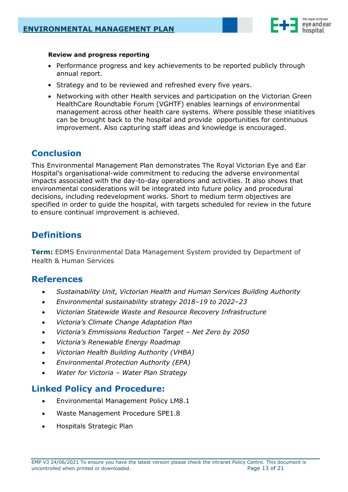

#### **Review and progress reporting**

- Performance progress and key achievements to be reported publicly through annual report.
- Strategy and to be reviewed and refreshed every five years.
- Networking with other Health services and participation on the Victorian Green HealthCare Roundtable Forum (VGHTF) enables learnings of environmental management across other health care systems. Where possible these iniatitives can be brought back to the hospital and provide opportunities for continuous improvement. Also capturing staff ideas and knowledge is encouraged.

# <span id="page-12-0"></span>**Conclusion**

This Environmental Management Plan demonstrates The Royal Victorian Eye and Ear Hospital's organisational-wide commitment to reducing the adverse environmental impacts associated with the day-to-day operations and activities. It also shows that environmental considerations will be integrated into future policy and procedural decisions, including redevelopment works. Short to medium term objectives are specified in order to guide the hospital, with targets scheduled for review in the future to ensure continual improvement is achieved.

# <span id="page-12-1"></span>**Definitions**

**Term:** EDMS Environmental Data Management System provided by Department of Health & Human Services

### <span id="page-12-2"></span>**References**

- *Sustainability Unit, Victorian Health and Human Services Building Authority*
- *Environmental sustainability strategy 2018–19 to 2022–23*
- *Victorian Statewide Waste and Resource Recovery Infrastructure*
- *Victoria's Climate Change Adaptation Plan*
- *Victoria's Emmissions Reduction Target – Net Zero by 2050*
- *Victoria's Renewable Energy Roadmap*
- *Victorian Health Building Authority (VHBA)*
- *Environmental Protection Authority (EPA)*
- *Water for Victoria – Water Plan Strategy*

### <span id="page-12-3"></span>**Linked Policy and Procedure:**

- Environmental Management Policy LM8.1
- Waste Management Procedure SPE1.8
- Hospitals Strategic Plan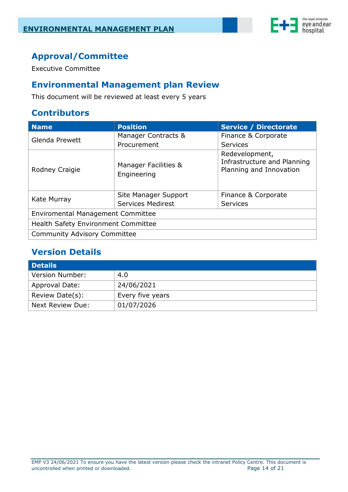

# <span id="page-13-0"></span>**Approval/Committee**

Executive Committee

# <span id="page-13-1"></span>**Environmental Management plan Review**

This document will be reviewed at least every 5 years

# <span id="page-13-2"></span>**Contributors**

| <b>Name</b>                                | <b>Position</b>                     | <b>Service / Directorate</b>                                             |  |
|--------------------------------------------|-------------------------------------|--------------------------------------------------------------------------|--|
| Glenda Prewett                             | Manager Contracts &                 | Finance & Corporate                                                      |  |
|                                            | Procurement                         | <b>Services</b>                                                          |  |
| Rodney Craigie                             | Manager Facilities &<br>Engineering | Redevelopment,<br>Infrastructure and Planning<br>Planning and Innovation |  |
| Kate Murray                                | Site Manager Support                | Finance & Corporate                                                      |  |
|                                            | <b>Services Medirest</b>            | <b>Services</b>                                                          |  |
| <b>Enviromental Management Committee</b>   |                                     |                                                                          |  |
| <b>Health Safety Environment Committee</b> |                                     |                                                                          |  |
| <b>Community Advisory Committee</b>        |                                     |                                                                          |  |

# <span id="page-13-3"></span>**Version Details**

| <b>Details</b>        |                  |
|-----------------------|------------------|
| Version Number:       | 4.0              |
| <b>Approval Date:</b> | 24/06/2021       |
| Review Date(s):       | Every five years |
| Next Review Due:      | 01/07/2026       |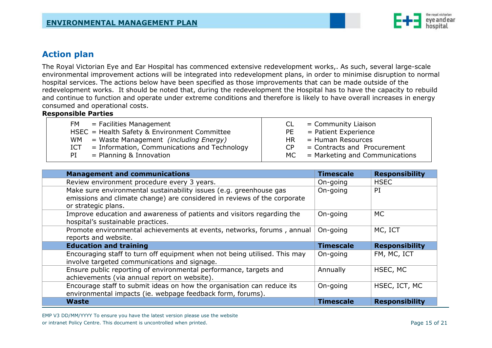

### **Action plan**

The Royal Victorian Eye and Ear Hospital has commenced extensive redevelopment works,. As such, several large-scale environmental improvement actions will be integrated into redevelopment plans, in order to minimise disruption to normal hospital services. The actions below have been specified as those improvements that can be made outside of the redevelopment works. It should be noted that, during the redevelopment the Hospital has to have the capacity to rebuild and continue to function and operate under extreme conditions and therefore is likely to have overall increases in energy consumed and operational costs.

#### **Responsible Parties**

| <b>FM</b>                                      | = Community Liaison            |
|------------------------------------------------|--------------------------------|
| $=$ Facilities Management                      | CL.                            |
| HSEC = Health Safety & Environment Committee   | = Patient Experience<br>PE     |
| = Waste Management <i>(including Energy)</i>   | = Human Resources              |
| WM .                                           | HR I                           |
| $=$ Information, Communications and Technology | $=$ Contracts and Procurement  |
| ICT                                            | C <sub>P</sub>                 |
| $=$ Planning & Innovation                      | = Marketing and Communications |
| PI                                             | MC                             |

<span id="page-14-0"></span>

| <b>Management and communications</b>                                                                                                                                  | <b>Timescale</b> | <b>Responsibility</b> |
|-----------------------------------------------------------------------------------------------------------------------------------------------------------------------|------------------|-----------------------|
| Review environment procedure every 3 years.                                                                                                                           | On-going         | <b>HSEC</b>           |
| Make sure environmental sustainability issues (e.g. greenhouse gas<br>emissions and climate change) are considered in reviews of the corporate<br>or strategic plans. | On-going         | PI                    |
| Improve education and awareness of patients and visitors regarding the<br>hospital's sustainable practices.                                                           | On-going         | <b>MC</b>             |
| Promote environmental achievements at events, networks, forums, annual<br>reports and website.                                                                        | On-going         | MC, ICT               |
| <b>Education and training</b>                                                                                                                                         | <b>Timescale</b> | <b>Responsibility</b> |
| Encouraging staff to turn off equipment when not being utilised. This may<br>involve targeted communications and signage.                                             | On-going         | FM, MC, ICT           |
| Ensure public reporting of environmental performance, targets and<br>achievements (via annual report on website).                                                     | Annually         | HSEC, MC              |
| Encourage staff to submit ideas on how the organisation can reduce its<br>environmental impacts (ie. webpage feedback form, forums).                                  | On-going         | HSEC, ICT, MC         |
| Waste                                                                                                                                                                 | <b>Timescale</b> | <b>Responsibility</b> |

EMP V3 DD/MM/YYYY To ensure you have the latest version please use the website or intranet Policy Centre. This document is uncontrolled when printed. Page 15 of 21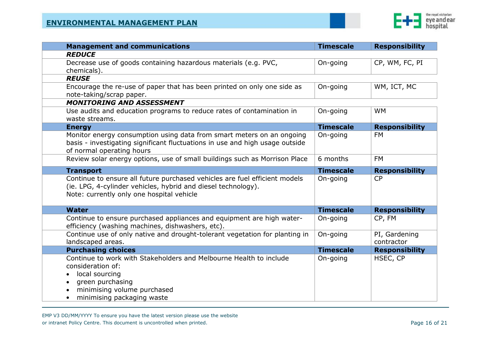

| <b>Management and communications</b>                                                                                                                                                       | <b>Timescale</b> | <b>Responsibility</b>       |
|--------------------------------------------------------------------------------------------------------------------------------------------------------------------------------------------|------------------|-----------------------------|
| <b>REDUCE</b>                                                                                                                                                                              |                  |                             |
| Decrease use of goods containing hazardous materials (e.g. PVC,<br>chemicals).                                                                                                             | On-going         | CP, WM, FC, PI              |
| <b>REUSE</b>                                                                                                                                                                               |                  |                             |
| Encourage the re-use of paper that has been printed on only one side as<br>note-taking/scrap paper.                                                                                        | On-going         | WM, ICT, MC                 |
| <b>MONITORING AND ASSESSMENT</b>                                                                                                                                                           |                  |                             |
| Use audits and education programs to reduce rates of contamination in<br>waste streams.                                                                                                    | On-going         | <b>WM</b>                   |
| <b>Energy</b>                                                                                                                                                                              | <b>Timescale</b> | <b>Responsibility</b>       |
| Monitor energy consumption using data from smart meters on an ongoing<br>basis - investigating significant fluctuations in use and high usage outside<br>of normal operating hours         | On-going         | <b>FM</b>                   |
| Review solar energy options, use of small buildings such as Morrison Place                                                                                                                 | 6 months         | <b>FM</b>                   |
| <b>Transport</b>                                                                                                                                                                           | <b>Timescale</b> | <b>Responsibility</b>       |
| Continue to ensure all future purchased vehicles are fuel efficient models<br>(ie. LPG, 4-cylinder vehicles, hybrid and diesel technology).<br>Note: currently only one hospital vehicle   | On-going         | <b>CP</b>                   |
| <b>Water</b>                                                                                                                                                                               | <b>Timescale</b> | <b>Responsibility</b>       |
| Continue to ensure purchased appliances and equipment are high water-<br>efficiency (washing machines, dishwashers, etc).                                                                  | On-going         | CP, FM                      |
| Continue use of only native and drought-tolerant vegetation for planting in<br>landscaped areas.                                                                                           | On-going         | PI, Gardening<br>contractor |
| <b>Purchasing choices</b>                                                                                                                                                                  | <b>Timescale</b> | <b>Responsibility</b>       |
| Continue to work with Stakeholders and Melbourne Health to include<br>consideration of:<br>local sourcing<br>green purchasing<br>minimising volume purchased<br>minimising packaging waste | On-going         | HSEC, CP                    |

EMP V3 DD/MM/YYYY To ensure you have the latest version please use the website or intranet Policy Centre. This document is uncontrolled when printed. **Page 16 of 21** Page 16 of 21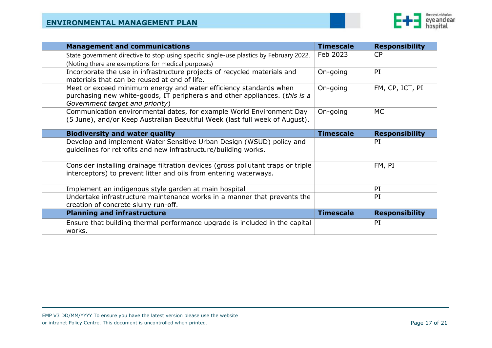

| <b>Management and communications</b>                                                                                                                                                | <b>Timescale</b> | <b>Responsibility</b> |
|-------------------------------------------------------------------------------------------------------------------------------------------------------------------------------------|------------------|-----------------------|
| State government directive to stop using specific single-use plastics by February 2022.                                                                                             | Feb 2023         | CP                    |
| (Noting there are exemptions for medical purposes)                                                                                                                                  |                  |                       |
| Incorporate the use in infrastructure projects of recycled materials and<br>materials that can be reused at end of life.                                                            | On-going         | PI                    |
| Meet or exceed minimum energy and water efficiency standards when<br>purchasing new white-goods, IT peripherals and other appliances. (this is a<br>Government target and priority) | On-going         | FM, CP, ICT, PI       |
| Communication environmental dates, for example World Environment Day<br>(5 June), and/or Keep Australian Beautiful Week (last full week of August).                                 | On-going         | МC                    |
| <b>Biodiversity and water quality</b>                                                                                                                                               | <b>Timescale</b> | <b>Responsibility</b> |
| Develop and implement Water Sensitive Urban Design (WSUD) policy and<br>guidelines for retrofits and new infrastructure/building works.                                             |                  | PI                    |
| Consider installing drainage filtration devices (gross pollutant traps or triple<br>interceptors) to prevent litter and oils from entering waterways.                               |                  | FM, PI                |
| Implement an indigenous style garden at main hospital                                                                                                                               |                  | PI                    |
| Undertake infrastructure maintenance works in a manner that prevents the<br>creation of concrete slurry run-off.                                                                    |                  | PI                    |
| <b>Planning and infrastructure</b>                                                                                                                                                  | <b>Timescale</b> | <b>Responsibility</b> |
| Ensure that building thermal performance upgrade is included in the capital<br>works.                                                                                               |                  | PI                    |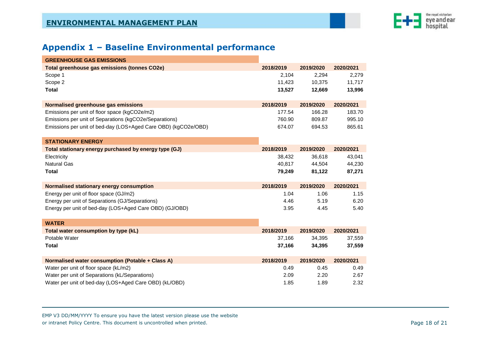

# **Appendix 1 – Baseline Environmental performance**

| <b>GREENHOUSE GAS EMISSIONS</b>                                                      |           |           |           |
|--------------------------------------------------------------------------------------|-----------|-----------|-----------|
| <b>Total greenhouse gas emissions (tonnes CO2e)</b>                                  | 2018/2019 | 2019/2020 | 2020/2021 |
| Scope 1                                                                              | 2,104     | 2,294     | 2,279     |
| Scope 2                                                                              | 11,423    | 10,375    | 11,717    |
| <b>Total</b>                                                                         | 13,527    | 12,669    | 13,996    |
|                                                                                      | 2018/2019 | 2019/2020 | 2020/2021 |
| Normalised greenhouse gas emissions<br>Emissions per unit of floor space (kgCO2e/m2) | 177.54    | 166.28    | 183.70    |
| Emissions per unit of Separations (kgCO2e/Separations)                               | 760.90    | 809.87    | 995.10    |
| Emissions per unit of bed-day (LOS+Aged Care OBD) (kgCO2e/OBD)                       | 674.07    | 694.53    | 865.61    |
|                                                                                      |           |           |           |
| <b>STATIONARY ENERGY</b>                                                             |           |           |           |
| Total stationary energy purchased by energy type (GJ)                                | 2018/2019 | 2019/2020 | 2020/2021 |
| Electricity                                                                          | 38,432    | 36,618    | 43,041    |
| <b>Natural Gas</b>                                                                   | 40,817    | 44,504    | 44,230    |
| <b>Total</b>                                                                         | 79,249    | 81,122    | 87,271    |
|                                                                                      |           |           |           |
| Normalised stationary energy consumption                                             | 2018/2019 | 2019/2020 | 2020/2021 |
| Energy per unit of floor space (GJ/m2)                                               | 1.04      | 1.06      | 1.15      |
| Energy per unit of Separations (GJ/Separations)                                      | 4.46      | 5.19      | 6.20      |
| Energy per unit of bed-day (LOS+Aged Care OBD) (GJ/OBD)                              | 3.95      | 4.45      | 5.40      |
| <b>WATER</b>                                                                         |           |           |           |
|                                                                                      | 2018/2019 | 2019/2020 | 2020/2021 |
| Total water consumption by type (kL)<br>Potable Water                                | 37,166    | 34,395    | 37,559    |
| <b>Total</b>                                                                         | 37,166    | 34,395    | 37,559    |
|                                                                                      |           |           |           |
| Normalised water consumption (Potable + Class A)                                     | 2018/2019 | 2019/2020 | 2020/2021 |
| Water per unit of floor space (kL/m2)                                                | 0.49      | 0.45      | 0.49      |
| Water per unit of Separations (kL/Separations)                                       |           |           |           |
|                                                                                      | 2.09      | 2.20      | 2.67      |

<span id="page-17-0"></span>EMP V3 DD/MM/YYYY To ensure you have the latest version please use the website or intranet Policy Centre. This document is uncontrolled when printed. Page 18 of 21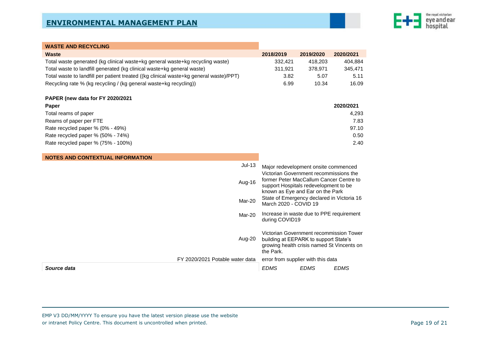

| <b>WASTE AND RECYCLING</b>                                                             |                                                                                                                                                                                             |             |             |
|----------------------------------------------------------------------------------------|---------------------------------------------------------------------------------------------------------------------------------------------------------------------------------------------|-------------|-------------|
| <b>Waste</b>                                                                           | 2018/2019                                                                                                                                                                                   | 2019/2020   | 2020/2021   |
| Total waste generated (kg clinical waste+kg general waste+kg recycling waste)          | 332,421                                                                                                                                                                                     | 418,203     | 404,884     |
| Total waste to landfill generated (kg clinical waste+kg general waste)                 | 311,921                                                                                                                                                                                     | 378,971     | 345,471     |
| Total waste to landfill per patient treated ((kg clinical waste+kg general waste)/PPT) | 3.82                                                                                                                                                                                        | 5.07        | 5.11        |
| Recycling rate % (kg recycling / (kg general waste+kg recycling))                      | 6.99                                                                                                                                                                                        | 10.34       | 16.09       |
| PAPER (new data for FY 2020/2021                                                       |                                                                                                                                                                                             |             |             |
| Paper                                                                                  |                                                                                                                                                                                             |             | 2020/2021   |
| Total reams of paper                                                                   |                                                                                                                                                                                             |             | 4,293       |
| Reams of paper per FTE                                                                 |                                                                                                                                                                                             |             | 7.83        |
| Rate recycled paper % (0% - 49%)                                                       |                                                                                                                                                                                             |             | 97.10       |
| Rate recycled paper % (50% - 74%)                                                      |                                                                                                                                                                                             |             | 0.50        |
| Rate recycled paper % (75% - 100%)                                                     |                                                                                                                                                                                             |             | 2.40        |
| <b>NOTES AND CONTEXTUAL INFORMATION</b>                                                |                                                                                                                                                                                             |             |             |
| $Jul-13$                                                                               | Major redevelopment onsite commenced<br>Victorian Government recommissions the                                                                                                              |             |             |
| Aug-16                                                                                 | former Peter MacCallum Cancer Centre to<br>support Hospitals redevelopment to be<br>known as Eye and Ear on the Park<br>State of Emergency declared in Victoria 16<br>March 2020 - COVID 19 |             |             |
| Mar-20                                                                                 |                                                                                                                                                                                             |             |             |
| Mar-20                                                                                 | Increase in waste due to PPE requirement<br>during COVID19                                                                                                                                  |             |             |
| Aug-20                                                                                 | Victorian Government recommission Tower<br>building at EEPARK to support State's<br>growing health crisis named St Vincents on<br>the Park.                                                 |             |             |
| FY 2020/2021 Potable water data                                                        | error from supplier with this data                                                                                                                                                          |             |             |
| Source data                                                                            | <b>EDMS</b>                                                                                                                                                                                 | <b>EDMS</b> | <b>EDMS</b> |

EMP V3 DD/MM/YYYY To ensure you have the latest version please use the website or intranet Policy Centre. This document is uncontrolled when printed. Page 19 of 21